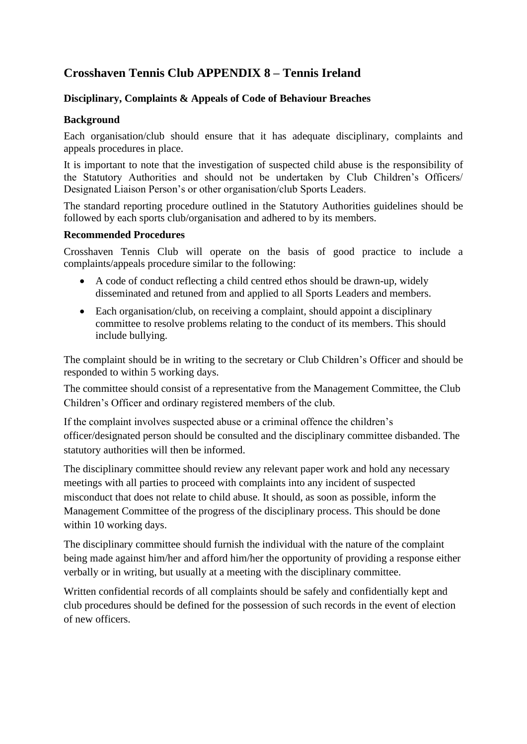## **Crosshaven Tennis Club APPENDIX 8 – Tennis Ireland**

## **Disciplinary, Complaints & Appeals of Code of Behaviour Breaches**

## **Background**

Each organisation/club should ensure that it has adequate disciplinary, complaints and appeals procedures in place.

It is important to note that the investigation of suspected child abuse is the responsibility of the Statutory Authorities and should not be undertaken by Club Children's Officers/ Designated Liaison Person's or other organisation/club Sports Leaders.

The standard reporting procedure outlined in the Statutory Authorities guidelines should be followed by each sports club/organisation and adhered to by its members.

## **Recommended Procedures**

Crosshaven Tennis Club will operate on the basis of good practice to include a complaints/appeals procedure similar to the following:

- A code of conduct reflecting a child centred ethos should be drawn-up, widely disseminated and retuned from and applied to all Sports Leaders and members.
- Each organisation/club, on receiving a complaint, should appoint a disciplinary committee to resolve problems relating to the conduct of its members. This should include bullying.

The complaint should be in writing to the secretary or Club Children's Officer and should be responded to within 5 working days.

The committee should consist of a representative from the Management Committee, the Club Children's Officer and ordinary registered members of the club.

If the complaint involves suspected abuse or a criminal offence the children's officer/designated person should be consulted and the disciplinary committee disbanded. The statutory authorities will then be informed.

The disciplinary committee should review any relevant paper work and hold any necessary meetings with all parties to proceed with complaints into any incident of suspected misconduct that does not relate to child abuse. It should, as soon as possible, inform the Management Committee of the progress of the disciplinary process. This should be done within 10 working days.

The disciplinary committee should furnish the individual with the nature of the complaint being made against him/her and afford him/her the opportunity of providing a response either verbally or in writing, but usually at a meeting with the disciplinary committee.

Written confidential records of all complaints should be safely and confidentially kept and club procedures should be defined for the possession of such records in the event of election of new officers.